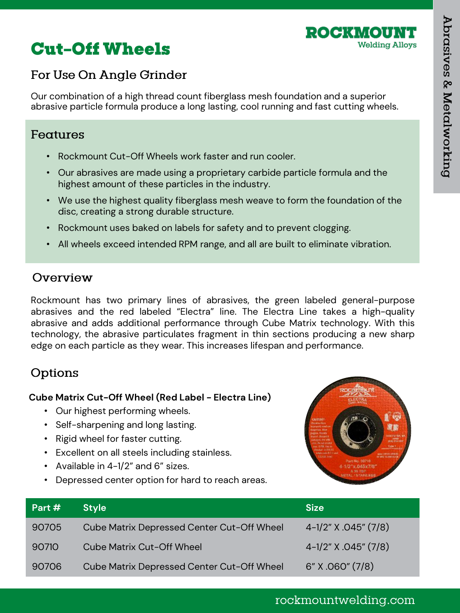

# **Cut-Off Wheels**

## For Use On Angle Grinder

Our combination of a high thread count fiberglass mesh foundation and a superior abrasive particle formula produce a long lasting, cool running and fast cutting wheels.

#### Features

- Rockmount Cut-Off Wheels work faster and run cooler.
- Our abrasives are made using a proprietary carbide particle formula and the highest amount of these particles in the industry.
- We use the highest quality fiberglass mesh weave to form the foundation of the disc, creating a strong durable structure.
- Rockmount uses baked on labels for safety and to prevent clogging.
- All wheels exceed intended RPM range, and all are built to eliminate vibration.

### Overview

Rockmount has two primary lines of abrasives, the green labeled general-purpose abrasives and the red labeled "Electra" line. The Electra Line takes a high-quality abrasive and adds additional performance through Cube Matrix technology. With this technology, the abrasive particulates fragment in thin sections producing a new sharp edge on each particle as they wear. This increases lifespan and performance.

## Options

#### **Cube Matrix Cut-Off Wheel (Red Label - Electra Line)**

- Our highest performing wheels.
- Self-sharpening and long lasting.
- Rigid wheel for faster cutting.
- Excellent on all steels including stainless.
- Available in 4-1/2" and 6" sizes.
- Depressed center option for hard to reach areas.



| Part # | <b>Style</b>                               | <b>Size</b>          |
|--------|--------------------------------------------|----------------------|
| 90705  | Cube Matrix Depressed Center Cut-Off Wheel | 4-1/2" X .045" (7/8) |
| 90710  | <b>Cube Matrix Cut-Off Wheel</b>           | 4-1/2" X .045" (7/8) |
| 90706  | Cube Matrix Depressed Center Cut-Off Wheel | 6" X .060" (7/8)     |

### rockmountwelding.com